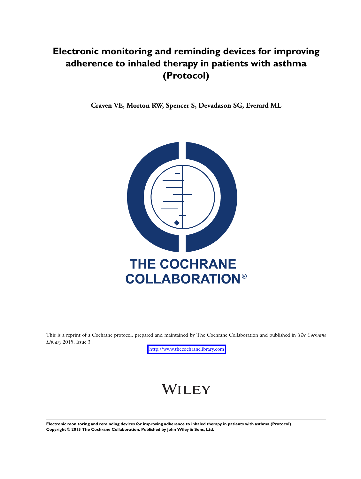# **Electronic monitoring and reminding devices for improving adherence to inhaled therapy in patients with asthma (Protocol)**

**Craven VE, Morton RW, Spencer S, Devadason SG, Everard ML**



This is a reprint of a Cochrane protocol, prepared and maintained by The Cochrane Collaboration and published in *The Cochrane Library* 2015, Issue 3

<http://www.thecochranelibrary.com>

# WILEY

**Electronic monitoring and reminding devices for improving adherence to inhaled therapy in patients with asthma (Protocol) Copyright © 2015 The Cochrane Collaboration. Published by John Wiley & Sons, Ltd.**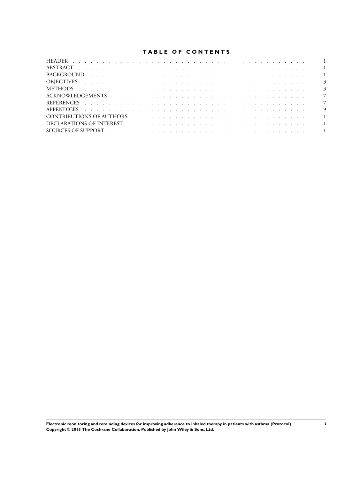# **TABLE OF CONTENTS**

| $\sim$ 1       |
|----------------|
|                |
|                |
|                |
|                |
| $\overline{9}$ |
| 11             |
|                |
|                |
|                |

**Electronic monitoring and reminding devices for improving adherence to inhaled therapy in patients with asthma (Protocol) i Copyright © 2015 The Cochrane Collaboration. Published by John Wiley & Sons, Ltd.**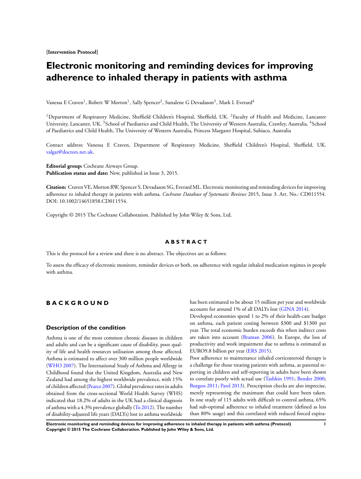<span id="page-2-0"></span>**[Intervention Protocol]**

# **Electronic monitoring and reminding devices for improving adherence to inhaled therapy in patients with asthma**

Vanessa E Craven $^1$ , Robert W Morton $^1$ , Sally Spencer $^2$ , Sunalene G Devadason $^3$ , Mark L Everard $^4$ 

<sup>1</sup>Department of Respiratory Medicine, Sheffield Children's Hospital, Sheffield, UK. <sup>2</sup>Faculty of Health and Medicine, Lancaster University, Lancaster, UK. <sup>3</sup>School of Paediatrics and Child Health, The University of Western Australia, Crawley, Australia. <sup>4</sup>School of Paediatrics and Child Health, The University of Western Australia, Princess Margaret Hospital, Subiaco, Australia

Contact address: Vanessa E Craven, Department of Respiratory Medicine, Sheffield Children's Hospital, Sheffield, UK. [valgar@doctors.net.uk.](mailto:valgar@doctors.net.uk)

**Editorial group:** Cochrane Airways Group. **Publication status and date:** New, published in Issue 3, 2015.

**Citation:** Craven VE, Morton RW, Spencer S, Devadason SG, Everard ML. Electronic monitoring and reminding devices for improving adherence to inhaled therapy in patients with asthma. *Cochrane Database of Systematic Reviews* 2015, Issue 3. Art. No.: CD011554. DOI: 10.1002/14651858.CD011554.

Copyright © 2015 The Cochrane Collaboration. Published by John Wiley & Sons, Ltd.

# **A B S T R A C T**

This is the protocol for a review and there is no abstract. The objectives are as follows:

To assess the efficacy of electronic monitors, reminder devices or both, on adherence with regular inhaled medication regimes in people with asthma.

#### **B A C K G R O U N D**

# **Description of the condition**

Asthma is one of the most common chronic diseases in children and adults and can be a significant cause of disability, poor quality of life and health resources utilisation among those affected. Asthma is estimated to affect over 300 million people worldwide [\(WHO 2007](#page-8-0)). The International Study of Asthma and Allergy in Childhood found that the United Kingdom, Australia and New Zealand had among the highest worldwide prevalence, with 15% of children affected ([Pearce 2007](#page-8-0)). Global prevalence rates in adults obtained from the cross-sectional World Health Survey (WHS) indicated that 18.2% of adults in the UK had a clinical diagnosis of asthma with a 4.3% prevalence globally ([To 2012](#page-8-0)). The number of disability-adjusted life years (DALYs) lost to asthma worldwide

has been estimated to be about 15 million per year and worldwide accounts for around 1% of all DALYs lost ([GINA 2014](#page-8-0)).

Developed economies spend 1 to 2% of their health-care budget on asthma, each patient costing between \$300 and \$1300 per year. The total economic burden exceeds this when indirect costs are taken into account ([Braman 2006\)](#page-8-0). In Europe, the loss of productivity and work impairment due to asthma is estimated as EURO9.8 billion per year ([ERS 2015](#page-8-0)).

Poor adherence to maintenance inhaled corticosteroid therapy is a challenge for those treating patients with asthma, as parental reporting in children and self-reporting in adults have been shown to correlate poorly with actual use ([Tashkin 1991;](#page-8-0) [Bender 2000;](#page-8-0) [Burgess 2011;](#page-8-0) [Patel 2013](#page-8-0)). Prescription checks are also imprecise, merely representing the maximum that could have been taken. In one study of 115 adults with difficult to control asthma, 65% had sub-optimal adherence to inhaled treatment (defined as less than 80% usage) and this correlated with reduced forced expira-

**Electronic monitoring and reminding devices for improving adherence to inhaled therapy in patients with asthma (Protocol) 1 Copyright © 2015 The Cochrane Collaboration. Published by John Wiley & Sons, Ltd.**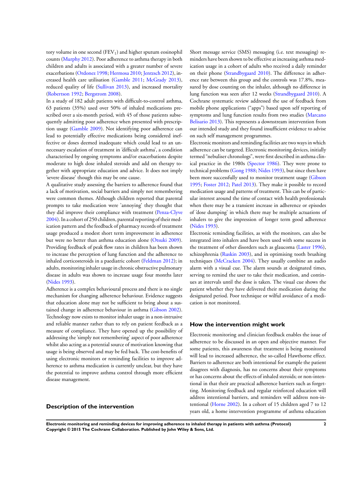tory volume in one second  $(FEV<sub>1</sub>)$  and higher sputum eosinophil counts ([Murphy 2012](#page-8-0)). Poor adherence to asthma therapy in both children and adults is associated with a greater number of severe exacerbations [\(Ordonez 1998](#page-8-0); [Hermosa 2010;](#page-8-0) [Jentzsch 2012\)](#page-8-0), increased health care utilisation [\(Gamble 2011](#page-8-0); [McGrady 2013](#page-8-0)), reduced quality of life ([Sullivan 2013\)](#page-8-0), and increased mortality [\(Robertson 1992](#page-8-0); [Bergstrom 2008](#page-8-0)).

In a study of 182 adult patients with difficult-to-control asthma, 63 patients (35%) used over 50% of inhaled medications prescribed over a six-month period, with 45 of those patients subsequently admitting poor adherence when presented with prescription usage ([Gamble 2009\)](#page-8-0). Not identifying poor adherence can lead to potentially effective medications being considered ineffective or doses deemed inadequate which could lead to an unnecessary escalation of treatment in 'difficult asthma', a condition characterised by ongoing symptoms and/or exacerbations despite moderate to high dose inhaled steroids and add on therapy together with appropriate education and advice. It does not imply 'severe disease' though this may be one cause.

A qualitative study assessing the barriers to adherence found that a lack of motivation, social barriers and simply not remembering were common themes. Although children reported that parental prompts to take medication were 'annoying' they thought that they did improve their compliance with treatment ([Penza-Clyve](#page-8-0) [2004](#page-8-0)). In a cohort of 250 children, parental reporting of their medication pattern and the feedback of pharmacy records of treatment usage produced a modest short term improvement in adherence but were no better than asthma education alone [\(Otsuki 2009](#page-8-0)). Providing feedback of peak flow rates in children has been shown to increase the perception of lung function and the adherence to inhaled corticosteroids in a paediatric cohort [\(Feldman 2012\)](#page-8-0); in adults, monitoring inhaler usage in chronic obstructive pulmonary disease in adults was shown to increase usage four months later [\(Nides 1993\)](#page-8-0).

Adherence is a complex behavioural process and there is no single mechanism for changing adherence behaviour. Evidence suggests that education alone may not be sufficient to bring about a sustained change in adherence behaviour in asthma [\(Gibson 2002](#page-8-0)). Technology now exists to monitor inhaler usage in a non-intrusive and reliable manner rather than to rely on patient feedback as a measure of compliance. They have opened up the possibility of addressing the 'simply not remembering' aspect of poor adherence whilst also acting as a potential source of motivation knowing that usage is being observed and may be fed back. The cost-benefits of using electronic monitors or reminding facilities to improve adherence to asthma medication is currently unclear, but they have the potential to improve asthma control through more efficient disease management.

# **Description of the intervention**

Short message service (SMS) messaging (i.e. text messaging) reminders have been shown to be effective at increasing asthma medication usage in a cohort of adults who received a daily reminder on their phone [\(Strandbygaard 2010](#page-8-0)). The difference in adherence rate between this group and the controls was 17.8%, measured by dose counting on the inhaler, although no difference in lung function was seen after 12 weeks ([Strandbygaard 2010\)](#page-8-0). A Cochrane systematic review addressed the use of feedback from mobile phone applications ("apps") based upon self reporting of symptoms and lung function results from two studies [\(Marcano](#page-8-0) [Belisario 2013](#page-8-0)). This represents a downstream intervention from our intended study and they found insufficient evidence to advise on such self management programmes.

Electronic monitors and reminding facilities are two ways in which adherence can be targeted. Electronic monitoring devices, initially termed "nebuliser chronologs", were first described in asthma clinical practice in the 1980s ([Spector 1986](#page-8-0)). They were prone to technical problems ([Gong 1988](#page-8-0); [Nides 1993\)](#page-8-0), but since then have been more successfully used to monitor treatment usage ([Gibson](#page-8-0) [1995](#page-8-0); [Foster 2012;](#page-8-0) [Patel 2013\)](#page-8-0). They make it possible to record medication usage and patterns of treatment. This can be of particular interest around the time of contact with health professionals when there may be a transient increase in adherence or episodes of 'dose dumping' in which there may be multiple actuations of inhalers to give the impression of longer term good adherence [\(Nides 1993\)](#page-8-0).

Electronic reminding facilities, as with the monitors, can also be integrated into inhalers and have been used with some success in the treatment of other disorders such as glaucoma ([Laster 1996](#page-8-0)), schizophrenia [\(Ruskin 2003\)](#page-8-0), and in optimising tooth brushing techniques [\(McCracken 2004\)](#page-8-0). They usually combine an audio alarm with a visual cue. The alarm sounds at designated times, serving to remind the user to take their medication, and continues at intervals until the dose is taken. The visual cue shows the patient whether they have delivered their medication during the designated period. Poor technique or wilful avoidance of a medication is not monitored.

#### **How the intervention might work**

Electronic monitoring and clinician feedback enables the issue of adherence to be discussed in an open and objective manner. For some patients, this awareness that treatment is being monitored will lead to increased adherence, the so-called Hawthorne effect. Barriers to adherence are both intentional for example the patient disagrees with diagnosis, has no concerns about their symptoms or has concerns about the effects of inhaled steroids; or non-intentional in that their are practical adherence barriers such as forgetting. Monitoring feedback and regular reinforced education will address intentional barriers, and reminders will address non-intentional ([Horne 2002\)](#page-8-0). In a cohort of 15 children aged 7 to 12 years old, a home intervention programme of asthma education

**Electronic monitoring and reminding devices for improving adherence to inhaled therapy in patients with asthma (Protocol) 2 Copyright © 2015 The Cochrane Collaboration. Published by John Wiley & Sons, Ltd.**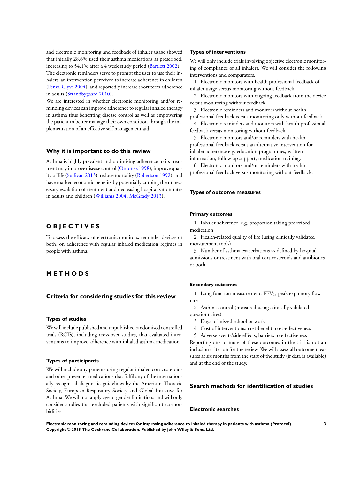and electronic monitoring and feedback of inhaler usage showed that initially 28.6% used their asthma medications as prescribed, increasing to 54.1% after a 4 week study period ([Bartlett 2002](#page-8-0)). The electronic reminders serve to prompt the user to use their inhalers, an intervention perceived to increase adherence in children [\(Penza-Clyve 2004](#page-8-0)), and reportedly increase short term adherence in adults [\(Strandbygaard 2010\)](#page-8-0).

We are interested in whether electronic monitoring and/or reminding devices can improve adherence to regular inhaled therapy in asthma thus benefiting disease control as well as empowering the patient to better manage their own condition through the implementation of an effective self management aid.

#### **Why it is important to do this review**

Asthma is highly prevalent and optimising adherence to its treatment may improve disease control ([Ordonez 1998\)](#page-8-0), improve quality of life ([Sullivan 2013](#page-8-0)), reduce mortality ([Robertson 1992\)](#page-8-0), and have marked economic benefits by potentially curbing the unnecessary escalation of treatment and decreasing hospitalisation rates in adults and children [\(Williams 2004;](#page-8-0) [McGrady 2013\)](#page-8-0).

# **O B J E C T I V E S**

To assess the efficacy of electronic monitors, reminder devices or both, on adherence with regular inhaled medication regimes in people with asthma.

# **M E T H O D S**

#### **Criteria for considering studies for this review**

#### **Types of studies**

We will include published and unpublished randomised controlled trials (RCTs), including cross-over studies, that evaluated interventions to improve adherence with inhaled asthma medication.

#### **Types of participants**

We will include any patients using regular inhaled corticosteroids and other preventer medications that fulfil any of the internationally-recognised diagnostic guidelines by the American Thoracic Society, European Respiratory Society and Global Initiative for Asthma. We will not apply age or gender limitations and will only consider studies that excluded patients with significant co-morbidities.

#### **Types of interventions**

We will only include trials involving objective electronic monitoring of compliance of all inhalers. We will consider the following interventions and comparators.

1. Electronic monitors with health professional feedback of inhaler usage versus monitoring without feedback.

2. Electronic monitors with ongoing feedback from the device versus monitoring without feedback.

3. Electronic reminders and monitors without health

professional feedback versus monitoring only without feedback. 4. Electronic reminders and monitors with health professional feedback versus monitoring without feedback.

5. Electronic monitors and/or reminders with health professional feedback versus an alternative intervention for inhaler adherence e.g. education programmes, written information, follow up support, medication training.

6. Electronic monitors and/or reminders with health professional feedback versus monitoring without feedback.

#### **Types of outcome measures**

#### **Primary outcomes**

1. Inhaler adherence, e.g. proportion taking prescribed medication

2. Health-related quality of life (using clinically validated measurement tools)

3. Number of asthma exacerbations as defined by hospital admissions or treatment with oral corticosteroids and antibiotics or both

#### **Secondary outcomes**

1. Lung function measurement:  $FEV<sub>1</sub>$ , peak expiratory flow rate

2. Asthma control (measured using clinically validated questionnaires)

- 3. Days of missed school or work
- 4. Cost of interventions: cost-benefit, cost-effectiveness
- 5. Adverse events/side effects, barriers to effectiveness

Reporting one of more of these outcomes in the trial is not an inclusion criterion for the review. We will assess all outcome measures at six months from the start of the study (if data is available) and at the end of the study.

# **Search methods for identification of studies**

# **Electronic searches**

**Electronic monitoring and reminding devices for improving adherence to inhaled therapy in patients with asthma (Protocol) 3 Copyright © 2015 The Cochrane Collaboration. Published by John Wiley & Sons, Ltd.**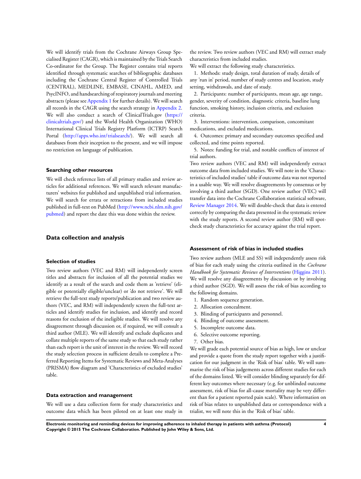We will identify trials from the Cochrane Airways Group Specialised Register (CAGR), which is maintained by the Trials Search Co-ordinator for the Group. The Register contains trial reports identified through systematic searches of bibliographic databases including the Cochrane Central Register of Controlled Trials (CENTRAL), MEDLINE, EMBASE, CINAHL, AMED, and PsycINFO, and handsearching of respiratory journals and meeting abstracts (please see [Appendix 1](#page-10-0) for further details). We will search all records in the CAGR using the search strategy in [Appendix 2.](#page-12-0) We will also conduct a search of ClinicalTrials.gov [\(https://](https://clinicaltrials.gov/) [clinicaltrials.gov/](https://clinicaltrials.gov/)) and the World Health Organization (WHO) International Clinical Trials Registry Platform (ICTRP) Search Portal ([http://apps.who.int/trialsearch/\)](http://apps.who.int/trialsearch/). We will search all databases from their inception to the present, and we will impose no restriction on language of publication.

#### **Searching other resources**

We will check reference lists of all primary studies and review articles for additional references. We will search relevant manufacturers' websites for published and unpublished trial information. We will search for errata or retractions from included studies published in full-text on PubMed ([http://www.ncbi.nlm.nih.gov/](http://www.ncbi.nlm.nih.gov/pubmed) [pubmed](http://www.ncbi.nlm.nih.gov/pubmed)) and report the date this was done within the review.

#### **Data collection and analysis**

#### **Selection of studies**

Two review authors (VEC and RM) will independently screen titles and abstracts for inclusion of all the potential studies we identify as a result of the search and code them as 'retrieve' (eligible or potentially eligible/unclear) or 'do not retrieve'. We will retrieve the full-text study reports/publication and two review authors (VEC, and RM) will independently screen the full-text articles and identify studies for inclusion, and identify and record reasons for exclusion of the ineligible studies. We will resolve any disagreement through discussion or, if required, we will consult a third author (MLE). We will identify and exclude duplicates and collate multiple reports of the same study so that each study rather than each report is the unit of interest in the review. We will record the study selection process in sufficient details to complete a Preferred Reporting Items for Systematic Reviews and Meta-Analyses (PRISMA) flow diagram and 'Characteristics of excluded studies' table.

#### **Data extraction and management**

We will use a data collection form for study characteristics and outcome data which has been piloted on at least one study in

the review. Two review authors (VEC and RM) will extract study characteristics from included studies.

We will extract the following study characteristics.

1. Methods: study design, total duration of study, details of any 'run in' period, number of study centres and location, study setting, withdrawals, and date of study.

2. Participants: number of participants, mean age, age range, gender, severity of condition, diagnostic criteria, baseline lung function, smoking history, inclusion criteria, and exclusion criteria.

3. Interventions: intervention, comparison, concomitant medications, and excluded medications.

4. Outcomes: primary and secondary outcomes specified and collected, and time points reported.

5. Notes: funding for trial, and notable conflicts of interest of trial authors.

Two review authors (VEC and RM) will independently extract outcome data from included studies. We will note in the 'Characteristics of included studies' table if outcome data was not reported in a usable way. We will resolve disagreements by consensus or by involving a third author (SGD). One review author (VEC) will transfer data into the Cochrane Collaboration statistical software, [Review Manager 2014](#page-8-0). We will double-check that data is entered correctly by comparing the data presented in the systematic review with the study reports. A second review author (RM) will spotcheck study characteristics for accuracy against the trial report.

#### **Assessment of risk of bias in included studies**

Two review authors (MLE and SS) will independently assess risk of bias for each study using the criteria outlined in the *Cochrane Handbook for Systematic Reviews of Interventions* [\(Higgins 2011](#page-8-0)). We will resolve any disagreements by discussion or by involving a third author (SGD). We will assess the risk of bias according to the following domains.

- 1. Random sequence generation.
- 2. Allocation concealment.
- 3. Blinding of participants and personnel.
- 4. Blinding of outcome assessment.
- 5. Incomplete outcome data.
- 6. Selective outcome reporting.
- 7. Other bias.

We will grade each potential source of bias as high, low or unclear and provide a quote from the study report together with a justification for our judgment in the 'Risk of bias' table. We will summarise the risk of bias judgements across different studies for each of the domains listed. We will consider blinding separately for different key outcomes where necessary (e.g. for unblinded outcome assessment, risk of bias for all-cause mortality may be very different than for a patient reported pain scale). Where information on risk of bias relates to unpublished data or correspondence with a trialist, we will note this in the 'Risk of bias' table.

**Electronic monitoring and reminding devices for improving adherence to inhaled therapy in patients with asthma (Protocol) 4 Copyright © 2015 The Cochrane Collaboration. Published by John Wiley & Sons, Ltd.**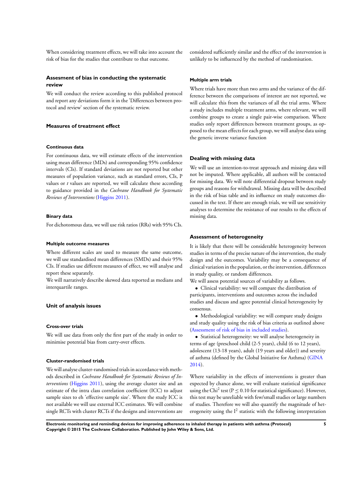When considering treatment effects, we will take into account the risk of bias for the studies that contribute to that outcome.

# **Assesment of bias in conducting the systematic review**

We will conduct the review according to this published protocol and report any deviations form it in the 'Differences between protocol and review' section of the systematic review.

#### **Measures of treatment effect**

#### **Continuous data**

For continuous data, we will estimate effects of the intervention using mean difference (MDs) and corresponding 95% confidence intervals (CIs). If standard deviations are not reported but other measures of population variance, such as standard errors, CIs, P values or *t* values are reported, we will calculate these according to guidance provided in the *Cochrane Handbook for Systematic Reviews of Interventions* ([Higgins 2011\)](#page-8-0).

#### **Binary data**

For dichotomous data, we will use risk ratios (RRs) with 95% CIs.

#### **Multiple outcome measures**

Where different scales are used to measure the same outcome, we will use standardised mean differences (SMDs) and their 95% CIs. If studies use different measures of effect, we will analyse and report these separately.

We will narratively describe skewed data reported as medians and interquartile ranges.

#### **Unit of analysis issues**

# **Cross-over trials**

We will use data from only the first part of the study in order to minimise potential bias from carry-over effects.

#### **Cluster-randomised trials**

We will analyse cluster-randomised trials in accordance with methods described in *Cochrane Handbook for Systematic Reviews of Interventions* ([Higgins 2011\)](#page-8-0), using the average cluster size and an estimate of the intra class correlation coefficient (ICC) to adjust sample sizes to eh 'effective sample size'. Where the study ICC is not available we will use external ICC estimates. We will combine single RCTs with cluster RCTs if the designs and interventions are considered sufficiently similar and the effect of the intervention is unlikely to be influenced by the method of randomisation.

#### **Multiple arm trials**

Where trials have more than two arms and the variance of the difference between the comparisons of interest are not reported, we will calculate this from the variances of all the trial arms. Where a study includes multiple treatment arms, where relevant, we will combine groups to create a single pair-wise comparison. Where studies only report differences between treatment groups, as opposed to the mean effects for each group, we will analyse data using the generic inverse variance function

#### **Dealing with missing data**

We will use an intention-to-treat approach and missing data will not be imputed. Where applicable, all authors will be contacted for missing data. We will note differential dropout between study groups and reasons for withdrawal. Missing data will be described in the risk of bias table and its influence on study outcomes discussed in the text. If there are enough trials, we will use sensitivity analyses to determine the resistance of our results to the effects of missing data.

#### **Assessment of heterogeneity**

It is likely that there will be considerable heterogeneity between studies in terms of the precise nature of the intervention, the study design and the outcomes. Variability may be a consequence of clinical variation in the population, or the intervention, differences in study quality, or random differences.

We will assess potential sources of variability as follows.

• Clinical variability: we will compare the distribution of participants, interventions and outcomes across the included studies and discuss and agree potential clinical heterogeneity by consensus.

• Methodological variability: we will compare study designs and study quality using the risk of bias criteria as outlined above [\(Assessment of risk of bias in included studies](#page-2-0)).

• Statistical heterogeneity: we will analyse heterogeneity in terms of age (preschool child (2-5 years), child (6 to 12 years), adolescent (13-18 years), adult (19 years and older)) and severity of asthma (defined by the Global Initiative for Asthma) [\(GINA](#page-8-0) [2014](#page-8-0)).

Where variability in the effects of interventions is greater than expected by chance alone, we will evaluate statistical significance using the Chi<sup>2</sup> test ( $P \le 0.10$  for statistical significance). However, this test may be unreliable with few/small studies or large numbers of studies. Therefore we will also quantify the magnitude of heterogeneity using the  $I^2$  statistic with the following interpretation

**Electronic monitoring and reminding devices for improving adherence to inhaled therapy in patients with asthma (Protocol) 5 Copyright © 2015 The Cochrane Collaboration. Published by John Wiley & Sons, Ltd.**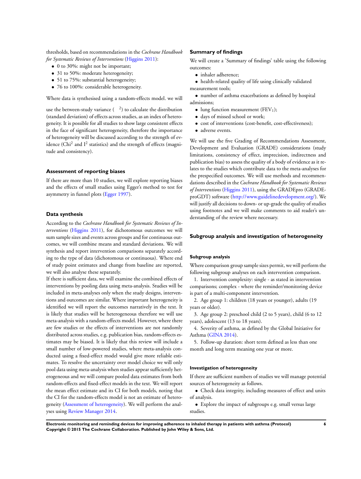thresholds, based on recommendations in the *Cochrane Handbook for Systematic Reviews of Interventions* ([Higgins 2011](#page-8-0)):

- 0 to 30%: might not be important;
- 31 to 50%: moderate heterogeneity;
- 51 to 75%: substantial heterogeneity;
- 76 to 100%: considerable heterogeneity.

Where data is synthesised using a random-effects model. we will

use the between-study variance  $(-2)$  to calculate the distribution (standard deviation) of effects across studies, as an index of heterogeneity. It is possible for all studies to show large consistent effects in the face of significant heterogeneity, therefore the importance of heterogeneity will be discussed according to the strength of evidence (Chi<sup>2</sup> and I<sup>2</sup> statistics) and the strength of effects (magnitude and consistency).

#### **Assessment of reporting biases**

If there are more than 10 studies, we will explore reporting biases and the effects of small studies using Egger's method to test for asymmetry in funnel plots [\(Egger 1997\)](#page-8-0).

#### **Data synthesis**

According to the *Cochrane Handbook for Systematic Reviews of Interventions* [\(Higgins 2011](#page-8-0)), for dichotomous outcomes we will sum sample sizes and events across groups and for continuous outcomes, we will combine means and standard deviations. We will synthesis and report intervention comparisons separately according to the type of data (dichotomous or continuous). Where end of study point estimates and change from baseline are reported, we will also analyse these separately.

If there is sufficient data, we will examine the combined effects of interventions by pooling data using meta-analysis. Studies will be included in meta-analyses only when the study designs, interventions and outcomes are similar. Where important heterogeneity is identified we will report the outcomes narratively in the text. It is likely that studies will be heterogeneous therefore we will use meta-analysis with a random-effects model. However, where there are few studies or the effects of interventions are not randomly distributed across studies, e.g. publication bias, random-effects estimates may be biased. It is likely that this review will include a small number of low-powered studies, where meta-analysis conducted using a fixed-effect model would give more reliable estimates. To resolve the uncertainty over model choice we will only pool data using meta-analysis when studies appear sufficiently heterogeneous and we will compare pooled data estimates from both random-effects and fixed-effect models in the text. We will report the mean effect estimate and its CI for both models, noting that the CI for the random-effects model is not an estimate of heterogeneity [\(Assessment of heterogeneity\)](#page-2-0). We will perform the analyses using [Review Manager 2014.](#page-8-0)

#### **Summary of findings**

We will create a 'Summary of findings' table using the following outcomes:

- inhaler adherence;
- health-related quality of life using clinically validated measurement tools;
- number of asthma exacerbations as defined by hospital admissions;
	- lung function measurement ( $FEV<sub>1</sub>$ );
	- days of missed school or work;
	- cost of interventions (cost-benefit, cost-effectiveness);
	- adverse events.

We will use the five Grading of Recommendations Assessment, Development and Evaluation (GRADE) considerations (study limitations, consistency of effect, imprecision, indirectness and publication bias) to assess the quality of a body of evidence as it relates to the studies which contribute data to the meta-analyses for the prespecified outcomes. We will use methods and recommendations described in the *Cochrane Handbook for Systematic Reviews of Interventions* [\(Higgins 2011\)](#page-8-0), using the GRADEpro (GRADEproGDT) software ([http://www.guidelinedevelopment.org/\)](http://www.guidelinedevelopment.org/). We will justify all decisions to down- or up-grade the quality of studies using footnotes and we will make comments to aid reader's understanding of the review where necessary.

#### **Subgroup analysis and investigation of heterogeneity**

#### **Subgroup analysis**

Where comparison group sample sizes permit, we will perform the following subgroup analyses on each intervention comparison.

1. Intervention complexity: single - as stated in intervention comparisons; complex - where the reminder/monitoring device is part of a multi-component intervention.

2. Age group 1: children (18 years or younger), adults (19 years or older).

3. Age group 2: preschool child (2 to 5 years), child (6 to 12 years), adolescent (13 to 18 years).

4. Severity of asthma, as defined by the Global Initiative for Asthma ([GINA 2014\)](#page-8-0).

5. Follow-up duration: short term defined as less than one month and long term meaning one year or more.

#### **Investigation of heterogeneity**

If there are sufficient numbers of studies we will manage potential sources of heterogeneity as follows.

• Check data integrity, including measures of effect and units of analysis.

• Explore the impact of subgroups e.g. small versus large studies.

**Electronic monitoring and reminding devices for improving adherence to inhaled therapy in patients with asthma (Protocol) 6 Copyright © 2015 The Cochrane Collaboration. Published by John Wiley & Sons, Ltd.**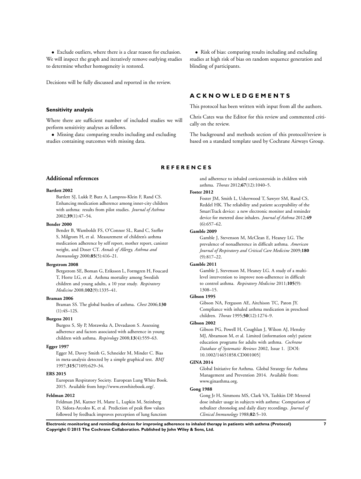<span id="page-8-0"></span>• Exclude outliers, where there is a clear reason for exclusion. We will inspect the graph and iteratively remove outlying studies to determine whether homogeneity is restored.

Decisions will be fully discussed and reported in the review.

#### **Sensitivity analysis**

Where there are sufficient number of included studies we will perform sensitivity analyses as follows.

• Missing data: comparing results including and excluding studies containing outcomes with missing data.

• Risk of bias: comparing results including and excluding studies at high risk of bias on random sequence generation and blinding of participants.

# **A C K N O W L E D G E M E N T S**

This protocol has been written with input from all the authors.

Chris Cates was the Editor for this review and commented critically on the review.

The background and methods section of this protocol/review is based on a standard template used by Cochrane Airways Group.

#### **R E F E R E N C E S**

#### **Additional references**

#### **Bartlett 2002**

Bartlett SJ, Lukk P, Butz A, Lampros-Klein F, Rand CS. Enhancing medication adherence among inner-city children with asthma: results from pilot studies. *Journal of Asthma* 2002;**39**(1):47–54.

#### **Bender 2000**

Bender B, Wamboldt FS, O'Connor SL, Rand C, Szefler S, Milgrom H, et al. Measurement of children's asthma medication adherence by self report, mother report, canister weight, and Doser CT. *Annals of Allergy, Asthma and Immunology* 2000;**85**(5):416–21.

#### **Bergstrom 2008**

Bergstrom SE, Boman G, Eriksson L, Formgren H, Foucard T, Horte LG, et al. Asthma mortality among Swedish children and young adults, a 10 year study. *Respiratory Medicine* 2008;**102**(9):1335–41.

#### **Braman 2006**

Braman SS. The global burden of asthma. *Chest* 2006;**130** (1):4S–12S.

#### **Burgess 2011**

Burgess S, Sly P, Morawska A, Devadason S. Assessing adherence and factors associated with adherence in young children with asthma. *Respirology* 2008;**13**(4):559–63.

## **Egger 1997**

Egger M, Davey Smith G, Schneider M, Minder C. Bias in meta-analysis detected by a simple graphical test. *BMJ* 1997;**315**(7109):629–34.

#### **ERS 2015**

European Respiratory Society. European Lung White Book. 2015. Available from http://www.erswhitebook.org/.

#### **Feldman 2012**

Feldman JM, Kutner H, Matte L, Lupkin M, Steinberg D, Sidora-Arcoleo K, et al. Prediction of peak flow values followed by feedback improves perception of lung function

and adherence to inhaled corticosteroids in children with asthma. *Thorax* 2012;**67**(12):1040–5.

#### **Foster 2012**

Foster JM, Smith L, Usherwood T, Sawyer SM, Rand CS, Reddel HK. The reliability and patient acceptability of the SmartTrack device: a new electronic monitor and reminder device for metered dose inhalers. *Journal of Asthma* 2012;**49** (6):657–62.

#### **Gamble 2009**

Gamble J, Stevenson M, McClean E, Heaney LG. The prevalence of nonadherence in difficult asthma. *American Journal of Respiratory and Critical Care Medicine* 2009;**180** (9):817–22.

#### **Gamble 2011**

Gamble J, Stevenson M, Heaney LG. A study of a multilevel intervention to improve non-adherence in difficult to control asthma. *Respiratory Medicine* 2011;**105**(9): 1308–15.

#### **Gibson 1995**

Gibson NA, Ferguson AE, Aitchison TC, Paton JY. Compliance with inhaled asthma medication in preschool children. *Thorax* 1995;**50**(12):1274–9.

#### **Gibson 2002**

Gibson PG, Powell H, Coughlan J, Wilson AJ, Hensley MJ, Abramson M, et al. Limited (information only) patient education programs for adults with asthma. *Cochrane Database of Systematic Reviews* 2002, Issue 1. [DOI: 10.1002/14651858.CD001005]

#### **GINA 2014**

Global Initiative for Asthma. Global Strategy for Asthma Management and Prevention 2014. Available from: www.ginasthma.org.

#### **Gong 1988**

Gong Jr H, Simmons MS, Clark VA, Tashkin DP. Metered dose inhaler usage in subjects with asthma: Comparison of nebulizer chronolog and daily diary recordings. *Journal of Clinical Immunology* 1988;**82**:5–10.

**Electronic monitoring and reminding devices for improving adherence to inhaled therapy in patients with asthma (Protocol) 7 Copyright © 2015 The Cochrane Collaboration. Published by John Wiley & Sons, Ltd.**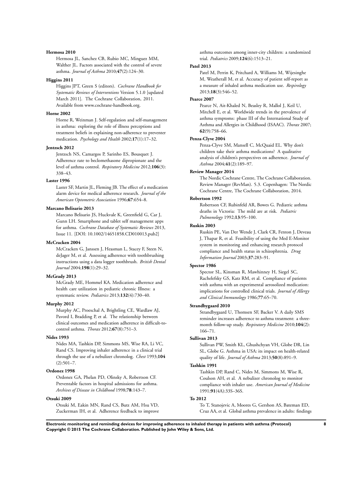#### **Hermosa 2010**

Hermosa JL, Sanchez CB, Rubio MC, Minguez MM, Walther JL. Factors associated with the control of severe asthma. *Journal of Asthma* 2010;**47**(2):124–30.

#### **Higgins 2011**

Higgins JPT, Green S (editors). *Cochrane Handbook for Systematic Reviews of Interventions* Version 5.1.0 [updated March 2011]. The Cochrane Collaboration, 2011. Available from www.cochrane-handbook.org.

#### **Horne 2002**

Horne R, Weinman J. Self-regulation and self-management in asthma: exploring the role of illness perceptions and treatment beliefs in explaining non-adherence to preventer medication. *Psychology and Health* 2002;**17**(1):17–32.

#### **Jentzsch 2012**

Jentzsch NS, Camargos P, Sarinho ES, Bousquet J. Adherence rate to beclomethasone dipropionate and the level of asthma control. *Respiratory Medicine* 2012;**106**(3): 338–43.

#### **Laster 1996**

Laster SF, Martin JL, Fleming JB. The effect of a medication alarm device for medical adherence research. *Journal of the American Optometric Association* 1996;**67**:654–8.

#### **Marcano Belisario 2013**

Marcano Belisario JS, Huckvale K, Greenfield G, Car J, Gunn LH. Smartphone and tablet self management apps for asthma. *Cochrane Database of Systematic Reviews* 2013, Issue 11. [DOI: 10.1002/14651858.CD010013.pub2]

#### **McCracken 2004**

McCracken G, Janssen J, Heasman L, Stacey F, Steen N, deJager M, et al. Assessing adherence with toothbrushing instructions using a data logger toothbrush. *British Dental Journal* 2004;**198**(1):29–32.

#### **McGrady 2013**

McGrady ME, Hommel KA. Medication adherence and health care utilization in pediatric chronic Illness: a systematic review. *Pediatrics* 2013;**132**(4):730–40.

#### **Murphy 2012**

Murphy AC, Proeschal A, Brightling CE, Wardlaw AJ, Pavord I, Bradding P, et al. The relationship between clinical outcomes and medication adherence in difficult-tocontrol asthma. *Thorax* 2012;**67**(8):751–3.

#### **Nides 1993**

Nides MA, Tashkin DP, Simmons MS, Wise RA, Li VC, Rand CS. Improving inhaler adherence in a clinical trial through the use of a nebulizer chronolog. *Chest* 1993;**104**  $(2):501-7.$ 

#### **Ordonez 1998**

Ordonez GA, Phelan PD, Olinsky A, Robertson CF. Preventable factors in hospital admissions for asthma. *Archives of Disease in Childhood* 1998;**78**:143–7.

#### **Otsuki 2009**

Otsuki M, Eakin MN, Rand CS, Butz AM, Hsu VD, Zuckerman IH, et al. Adherence feedback to improve asthma outcomes among inner-city children: a randomized trial. *Pediatrics* 2009;**124**(6):1513–21.

#### **Patel 2013**

Patel M, Perrin K, Pritchard A, Williams M, Wijesinghe M, Weatherall M, et al. Accuracy of patient self-report as a measure of inhaled asthma medication use. *Respirology* 2013;**18**(3):546–52.

#### **Pearce 2007**

Pearce N, Ait-Khaled N, Beasley R, Mallol J, Keil U, Mitchell E, et al. Worldwide trends in the prevalence of asthma symptoms: phase III of the International Study of Asthma and Allergies in Childhood (ISAAC). *Thorax* 2007; **62**(9):758–66.

#### **Penza-Clyve 2004**

Penza-Clyve SM, Mansell C, McQuaid EL. Why don't children take their asthma medications? A qualitative analysis of children's perspectives on adherence. *Journal of Asthma* 2004;**41**(2):189–97.

#### **Review Manager 2014**

The Nordic Cochrane Centre, The Cochrane Collaboration. Review Manager (RevMan). 5.3. Copenhagen: The Nordic Cochrane Centre, The Cochrane Collaboration, 2014.

#### **Robertson 1992**

Robertson CF, Rubinfeld AR, Bowes G. Pediatric asthma deaths in Victoria: The mild are at risk. *Pediatric Pulmonology* 1992;**13**:95–100.

#### **Ruskin 2003**

Ruskin PE, Van Der Wende J, Clark CR, Fenton J, Deveau J, Thapar R, et al. Feasibility of using the Med E-Monitor system in monitoring and enhancing research protocol compliance and health status in schizophrenia. *Drug Information Journal* 2003;**37**:283–91.

#### **Spector 1986**

Spector SL, Kinsman R, Mawhinney H, Siegel SC, Rachelefsky GS, Katz RM, et al. Compliance of patients with asthma with an experimental aerosolized medication: implications for controlled clinical trials. *Journal of Allergy and Clinical Immunology* 1986;**77**:65–70.

#### **Strandbygaard 2010**

Strandbygaard U, Thomsen SF, Backer V. A daily SMS reminder increases adherence to asthma treatment: a threemonth follow-up study. *Respiratory Medicine* 2010;**104**(2): 166–71.

#### **Sullivan 2013**

Sullivan PW, Smith KL, Ghushchyan VH, Globe DR, Lin SL, Globe G. Asthma in USA: its impact on health-related quality of life. *Journal of Asthma* 2013;**50**(8):891–9.

#### **Tashkin 1991**

Tashkin DP, Rand C, Nides M, Simmons M, Wise R, Coulson AH, et al. A nebulizer chronolog to monitor compliance with inhaler use. *American Journal of Medicine* 1991;**91**(4A):33S–36S.

#### **To 2012**

To T, Stanojevic A, Moores G, Gershon AS, Bateman ED, Cruz AA, et al. Global asthma prevalence in adults: findings

**Electronic monitoring and reminding devices for improving adherence to inhaled therapy in patients with asthma (Protocol) 8 Copyright © 2015 The Cochrane Collaboration. Published by John Wiley & Sons, Ltd.**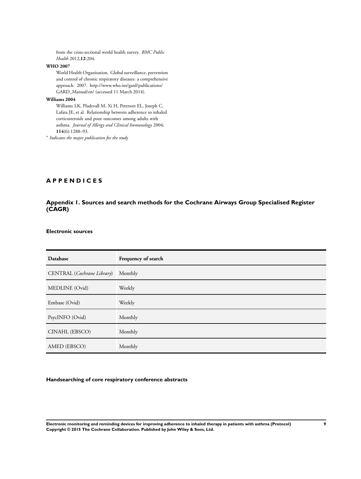<span id="page-10-0"></span>from the cross-sectional world health survey. *BMC Public Health* 2012;**12**:204.

# **WHO 2007**

World Health Organization. Global surveillance, prevention and control of chronic respiratory diseases: a comprehensive approach. 2007. http://www.who.int/gard/publications/ GARD\_Manual/en/ (accessed 11 March 2014).

#### **Williams 2004**

Williams LK, Pladevall M, Xi H, Peterson EL, Joseph C, Lafata JE, et al. Relationship between adherence to inhaled corticosteroids and poor outcomes among adults with asthma. *Journal of Allergy and Clinical Immunology* 2004; **114**(6):1288–93.

∗ *Indicates the major publication for the study*

# **A P P E N D I C E S**

# **Appendix 1. Sources and search methods for the Cochrane Airways Group Specialised Register (CAGR)**

#### **Electronic sources**

| Database                   | Frequency of search |
|----------------------------|---------------------|
| CENTRAL (Cochrane Library) | Monthly             |
| MEDLINE (Ovid)             | Weekly              |
| Embase (Ovid)              | Weekly              |
| PsycINFO (Ovid)            | Monthly             |
| CINAHL (EBSCO)             | Monthly             |
| AMED (EBSCO)               | Monthly             |

#### **Handsearching of core respiratory conference abstracts**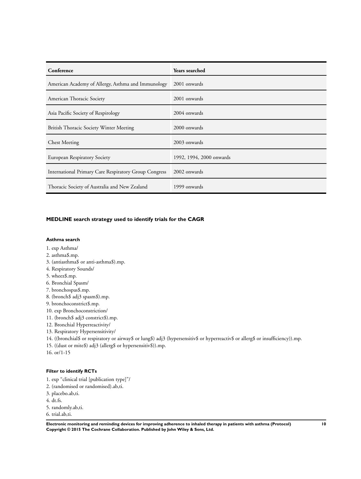| Conference                                            | Years searched           |
|-------------------------------------------------------|--------------------------|
| American Academy of Allergy, Asthma and Immunology    | 2001 onwards             |
| American Thoracic Society                             | 2001 onwards             |
| Asia Pacific Society of Respirology                   | 2004 onwards             |
| British Thoracic Society Winter Meeting               | 2000 onwards             |
| <b>Chest Meeting</b>                                  | 2003 onwards             |
| European Respiratory Society                          | 1992, 1994, 2000 onwards |
| International Primary Care Respiratory Group Congress | 2002 onwards             |
| Thoracic Society of Australia and New Zealand         | 1999 onwards             |

# **MEDLINE search strategy used to identify trials for the CAGR**

#### **Asthma search**

- 1. exp Asthma/
- 2. asthma\$.mp.
- 3. (antiasthma\$ or anti-asthma\$).mp.
- 4. Respiratory Sounds/
- 5. wheez\$.mp.
- 6. Bronchial Spasm/
- 7. bronchospas\$.mp.
- 8. (bronch\$ adj3 spasm\$).mp.
- 9. bronchoconstrict\$.mp.
- 10. exp Bronchoconstriction/
- 11. (bronch\$ adj3 constrict\$).mp.
- 12. Bronchial Hyperreactivity/
- 13. Respiratory Hypersensitivity/
- 14. ((bronchial\$ or respiratory or airway\$ or lung\$) adj3 (hypersensitiv\$ or hyperreactiv\$ or allerg\$ or insufficiency)).mp.
- 15. ((dust or mite\$) adj3 (allerg\$ or hypersensitiv\$)).mp.

16. or/1-15

#### **Filter to identify RCTs**

- 1. exp "clinical trial [publication type]"/
- 2. (randomised or randomised).ab,ti.
- 3. placebo.ab,ti.
- 4. dt.fs.
- 5. randomly.ab,ti.
- 6. trial.ab,ti.